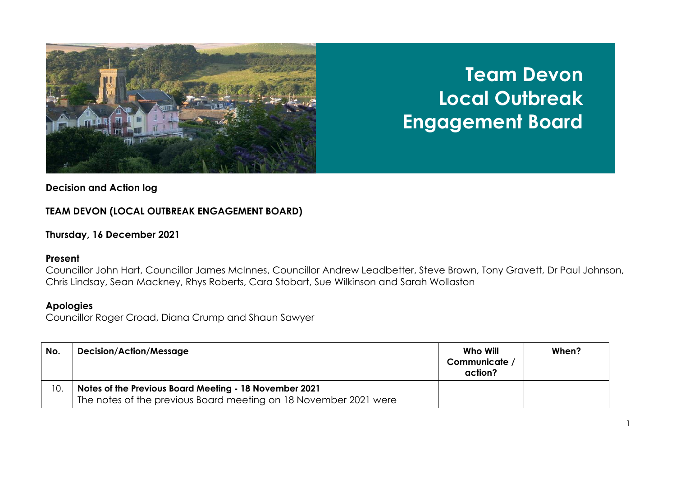

# **Team Devon Local Outbreak Engagement Board**

## **Decision and Action log**

## **TEAM DEVON (LOCAL OUTBREAK ENGAGEMENT BOARD)**

## **Thursday, 16 December 2021**

### **Present**

Councillor John Hart, Councillor James McInnes, Councillor Andrew Leadbetter, Steve Brown, Tony Gravett, Dr Paul Johnson, Chris Lindsay, Sean Mackney, Rhys Roberts, Cara Stobart, Sue Wilkinson and Sarah Wollaston

## **Apologies**

Councillor Roger Croad, Diana Crump and Shaun Sawyer

| No. | <b>Decision/Action/Message</b>                                                                                             | Who Will<br>Communicate /<br>action? | When? |
|-----|----------------------------------------------------------------------------------------------------------------------------|--------------------------------------|-------|
| ١٥. | Notes of the Previous Board Meeting - 18 November 2021<br>The notes of the previous Board meeting on 18 November 2021 were |                                      |       |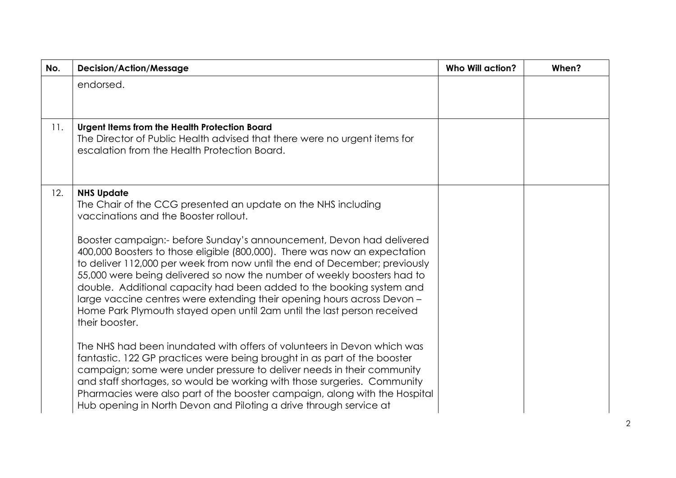| No. | <b>Decision/Action/Message</b>                                                                                                                                                                                                                                                                                                                                                                                                                                                                                                                                                                                                                                                             | <b>Who Will action?</b> | When? |
|-----|--------------------------------------------------------------------------------------------------------------------------------------------------------------------------------------------------------------------------------------------------------------------------------------------------------------------------------------------------------------------------------------------------------------------------------------------------------------------------------------------------------------------------------------------------------------------------------------------------------------------------------------------------------------------------------------------|-------------------------|-------|
|     | endorsed.                                                                                                                                                                                                                                                                                                                                                                                                                                                                                                                                                                                                                                                                                  |                         |       |
| 11. | Urgent Items from the Health Protection Board<br>The Director of Public Health advised that there were no urgent items for<br>escalation from the Health Protection Board.                                                                                                                                                                                                                                                                                                                                                                                                                                                                                                                 |                         |       |
| 12. | <b>NHS Update</b><br>The Chair of the CCG presented an update on the NHS including<br>vaccinations and the Booster rollout.<br>Booster campaign:- before Sunday's announcement, Devon had delivered<br>400,000 Boosters to those eligible (800,000). There was now an expectation<br>to deliver 112,000 per week from now until the end of December; previously<br>55,000 were being delivered so now the number of weekly boosters had to<br>double. Additional capacity had been added to the booking system and<br>large vaccine centres were extending their opening hours across Devon -<br>Home Park Plymouth stayed open until 2am until the last person received<br>their booster. |                         |       |
|     | The NHS had been inundated with offers of volunteers in Devon which was<br>fantastic. 122 GP practices were being brought in as part of the booster<br>campaign; some were under pressure to deliver needs in their community<br>and staff shortages, so would be working with those surgeries. Community<br>Pharmacies were also part of the booster campaign, along with the Hospital<br>Hub opening in North Devon and Piloting a drive through service at                                                                                                                                                                                                                              |                         |       |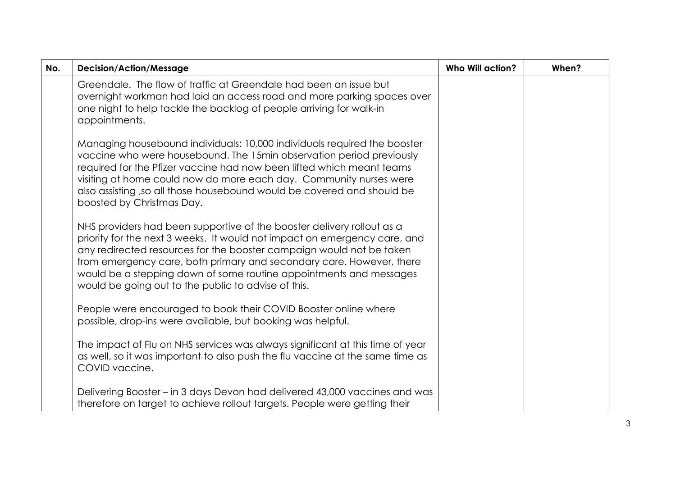| No. | <b>Decision/Action/Message</b>                                                                                                                                                                                                                                                                                                                                                                                                   | <b>Who Will action?</b> | When? |
|-----|----------------------------------------------------------------------------------------------------------------------------------------------------------------------------------------------------------------------------------------------------------------------------------------------------------------------------------------------------------------------------------------------------------------------------------|-------------------------|-------|
|     | Greendale. The flow of traffic at Greendale had been an issue but<br>overnight workman had laid an access road and more parking spaces over<br>one night to help tackle the backlog of people arriving for walk-in<br>appointments.                                                                                                                                                                                              |                         |       |
|     | Managing housebound individuals: 10,000 individuals required the booster<br>vaccine who were housebound. The 15min observation period previously<br>required for the Pfizer vaccine had now been lifted which meant teams<br>visiting at home could now do more each day. Community nurses were<br>also assisting ,so all those housebound would be covered and should be<br>boosted by Christmas Day.                           |                         |       |
|     | NHS providers had been supportive of the booster delivery rollout as a<br>priority for the next 3 weeks. It would not impact on emergency care, and<br>any redirected resources for the booster campaign would not be taken<br>from emergency care, both primary and secondary care. However, there<br>would be a stepping down of some routine appointments and messages<br>would be going out to the public to advise of this. |                         |       |
|     | People were encouraged to book their COVID Booster online where<br>possible, drop-ins were available, but booking was helpful.                                                                                                                                                                                                                                                                                                   |                         |       |
|     | The impact of Flu on NHS services was always significant at this time of year<br>as well, so it was important to also push the flu vaccine at the same time as<br>COVID vaccine.                                                                                                                                                                                                                                                 |                         |       |
|     | Delivering Booster – in 3 days Devon had delivered 43,000 vaccines and was<br>therefore on target to achieve rollout targets. People were getting their                                                                                                                                                                                                                                                                          |                         |       |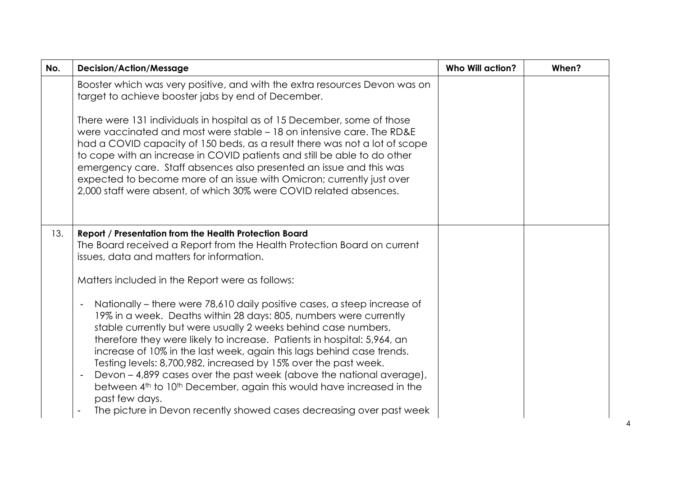| No. | <b>Decision/Action/Message</b>                                                                                                                                                                                                                                                                                                                                                                                                                                                                                                                                                                                                                                                                                                                                   | <b>Who Will action?</b> | When? |
|-----|------------------------------------------------------------------------------------------------------------------------------------------------------------------------------------------------------------------------------------------------------------------------------------------------------------------------------------------------------------------------------------------------------------------------------------------------------------------------------------------------------------------------------------------------------------------------------------------------------------------------------------------------------------------------------------------------------------------------------------------------------------------|-------------------------|-------|
|     | Booster which was very positive, and with the extra resources Devon was on<br>target to achieve booster jabs by end of December.                                                                                                                                                                                                                                                                                                                                                                                                                                                                                                                                                                                                                                 |                         |       |
|     | There were 131 individuals in hospital as of 15 December, some of those<br>were vaccinated and most were stable – 18 on intensive care. The RD&E<br>had a COVID capacity of 150 beds, as a result there was not a lot of scope<br>to cope with an increase in COVID patients and still be able to do other<br>emergency care. Staff absences also presented an issue and this was<br>expected to become more of an issue with Omicron; currently just over<br>2,000 staff were absent, of which 30% were COVID related absences.                                                                                                                                                                                                                                 |                         |       |
| 13. | Report / Presentation from the Health Protection Board<br>The Board received a Report from the Health Protection Board on current<br>issues, data and matters for information.                                                                                                                                                                                                                                                                                                                                                                                                                                                                                                                                                                                   |                         |       |
|     | Matters included in the Report were as follows:                                                                                                                                                                                                                                                                                                                                                                                                                                                                                                                                                                                                                                                                                                                  |                         |       |
|     | Nationally – there were 78,610 daily positive cases, a steep increase of<br>$\overline{\phantom{0}}$<br>19% in a week. Deaths within 28 days: 805, numbers were currently<br>stable currently but were usually 2 weeks behind case numbers,<br>therefore they were likely to increase. Patients in hospital: 5,964, an<br>increase of 10% in the last week, again this lags behind case trends.<br>Testing levels: 8,700,982, increased by 15% over the past week.<br>Devon - 4,899 cases over the past week (above the national average),<br>$\overline{\phantom{a}}$<br>between 4 <sup>th</sup> to 10 <sup>th</sup> December, again this would have increased in the<br>past few days.<br>The picture in Devon recently showed cases decreasing over past week |                         |       |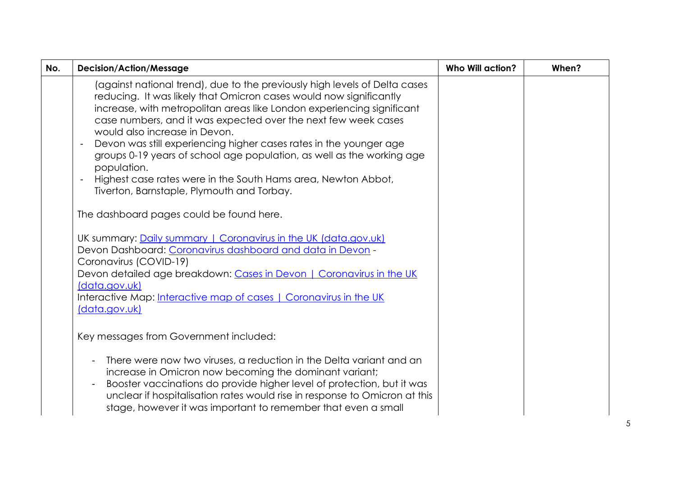| No. | <b>Decision/Action/Message</b>                                                                                                                                                                                                                                                                                                                                                                                                                                                                                                                                                                              | <b>Who Will action?</b> | When? |
|-----|-------------------------------------------------------------------------------------------------------------------------------------------------------------------------------------------------------------------------------------------------------------------------------------------------------------------------------------------------------------------------------------------------------------------------------------------------------------------------------------------------------------------------------------------------------------------------------------------------------------|-------------------------|-------|
|     | (against national trend), due to the previously high levels of Delta cases<br>reducing. It was likely that Omicron cases would now significantly<br>increase, with metropolitan areas like London experiencing significant<br>case numbers, and it was expected over the next few week cases<br>would also increase in Devon.<br>Devon was still experiencing higher cases rates in the younger age<br>groups 0-19 years of school age population, as well as the working age<br>population.<br>Highest case rates were in the South Hams area, Newton Abbot,<br>Tiverton, Barnstaple, Plymouth and Torbay. |                         |       |
|     | The dashboard pages could be found here.                                                                                                                                                                                                                                                                                                                                                                                                                                                                                                                                                                    |                         |       |
|     | UK summary: Daily summary   Coronavirus in the UK (data.gov.uk)<br>Devon Dashboard: Coronavirus dashboard and data in Devon -<br>Coronavirus (COVID-19)<br>Devon detailed age breakdown: Cases in Devon   Coronavirus in the UK<br>(data.gov.uk)<br>Interactive Map: Interactive map of cases   Coronavirus in the UK<br>(data.gov.uk)                                                                                                                                                                                                                                                                      |                         |       |
|     | Key messages from Government included:                                                                                                                                                                                                                                                                                                                                                                                                                                                                                                                                                                      |                         |       |
|     | There were now two viruses, a reduction in the Delta variant and an<br>increase in Omicron now becoming the dominant variant;<br>Booster vaccinations do provide higher level of protection, but it was<br>unclear if hospitalisation rates would rise in response to Omicron at this<br>stage, however it was important to remember that even a small                                                                                                                                                                                                                                                      |                         |       |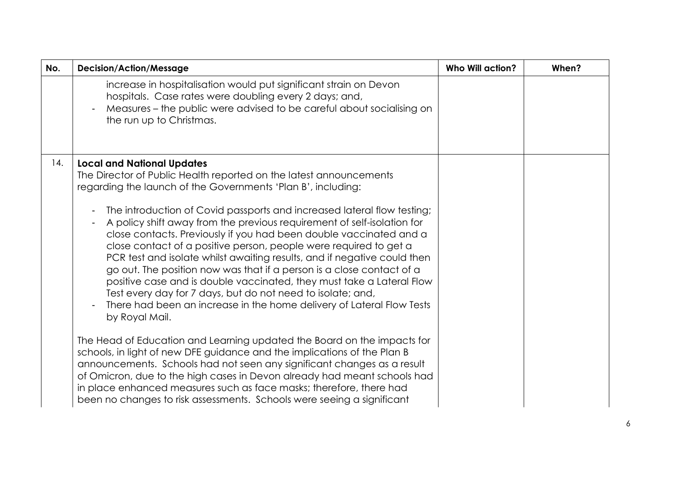| No. | <b>Decision/Action/Message</b>                                                                                                                                                                                                                                                                                                                                                                                                                                                                                                                                                                                                                                                        | <b>Who Will action?</b> | When? |
|-----|---------------------------------------------------------------------------------------------------------------------------------------------------------------------------------------------------------------------------------------------------------------------------------------------------------------------------------------------------------------------------------------------------------------------------------------------------------------------------------------------------------------------------------------------------------------------------------------------------------------------------------------------------------------------------------------|-------------------------|-------|
|     | increase in hospitalisation would put significant strain on Devon<br>hospitals. Case rates were doubling every 2 days; and,<br>Measures - the public were advised to be careful about socialising on<br>the run up to Christmas.                                                                                                                                                                                                                                                                                                                                                                                                                                                      |                         |       |
| 14. | <b>Local and National Updates</b><br>The Director of Public Health reported on the latest announcements<br>regarding the launch of the Governments 'Plan B', including:                                                                                                                                                                                                                                                                                                                                                                                                                                                                                                               |                         |       |
|     | The introduction of Covid passports and increased lateral flow testing;<br>A policy shift away from the previous requirement of self-isolation for<br>close contacts. Previously if you had been double vaccinated and a<br>close contact of a positive person, people were required to get a<br>PCR test and isolate whilst awaiting results, and if negative could then<br>go out. The position now was that if a person is a close contact of a<br>positive case and is double vaccinated, they must take a Lateral Flow<br>Test every day for 7 days, but do not need to isolate; and,<br>There had been an increase in the home delivery of Lateral Flow Tests<br>by Royal Mail. |                         |       |
|     | The Head of Education and Learning updated the Board on the impacts for<br>schools, in light of new DFE guidance and the implications of the Plan B<br>announcements. Schools had not seen any significant changes as a result<br>of Omicron, due to the high cases in Devon already had meant schools had<br>in place enhanced measures such as face masks; therefore, there had<br>been no changes to risk assessments. Schools were seeing a significant                                                                                                                                                                                                                           |                         |       |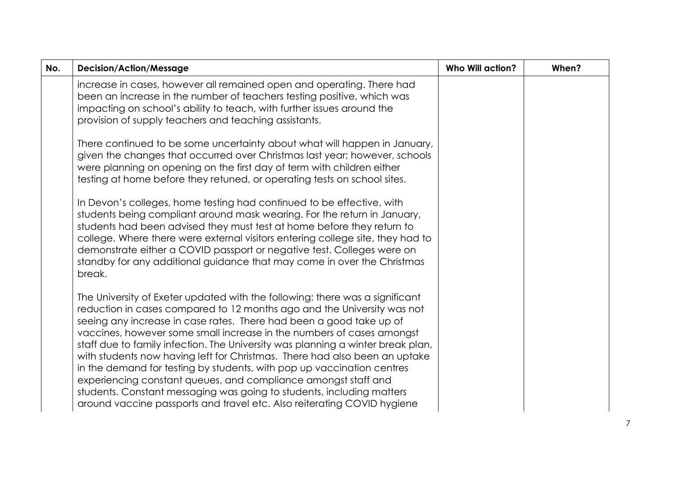| No. | <b>Decision/Action/Message</b>                                                                                                                                                                                                                                                                                                                                                                                                                                                                                                                                                                                                                                                                                                                                           | <b>Who Will action?</b> | When? |
|-----|--------------------------------------------------------------------------------------------------------------------------------------------------------------------------------------------------------------------------------------------------------------------------------------------------------------------------------------------------------------------------------------------------------------------------------------------------------------------------------------------------------------------------------------------------------------------------------------------------------------------------------------------------------------------------------------------------------------------------------------------------------------------------|-------------------------|-------|
|     | increase in cases, however all remained open and operating. There had<br>been an increase in the number of teachers testing positive, which was<br>impacting on school's ability to teach, with further issues around the<br>provision of supply teachers and teaching assistants.                                                                                                                                                                                                                                                                                                                                                                                                                                                                                       |                         |       |
|     | There continued to be some uncertainty about what will happen in January,<br>given the changes that occurred over Christmas last year; however, schools<br>were planning on opening on the first day of term with children either<br>testing at home before they retuned, or operating tests on school sites.                                                                                                                                                                                                                                                                                                                                                                                                                                                            |                         |       |
|     | In Devon's colleges, home testing had continued to be effective, with<br>students being compliant around mask wearing. For the return in January,<br>students had been advised they must test at home before they return to<br>college. Where there were external visitors entering college site, they had to<br>demonstrate either a COVID passport or negative test. Colleges were on<br>standby for any additional guidance that may come in over the Christmas<br>break.                                                                                                                                                                                                                                                                                             |                         |       |
|     | The University of Exeter updated with the following: there was a significant<br>reduction in cases compared to 12 months ago and the University was not<br>seeing any increase in case rates. There had been a good take up of<br>vaccines, however some small increase in the numbers of cases amongst<br>staff due to family infection. The University was planning a winter break plan,<br>with students now having left for Christmas. There had also been an uptake<br>in the demand for testing by students, with pop up vaccination centres<br>experiencing constant queues, and compliance amongst staff and<br>students. Constant messaging was going to students, including matters<br>around vaccine passports and travel etc. Also reiterating COVID hygiene |                         |       |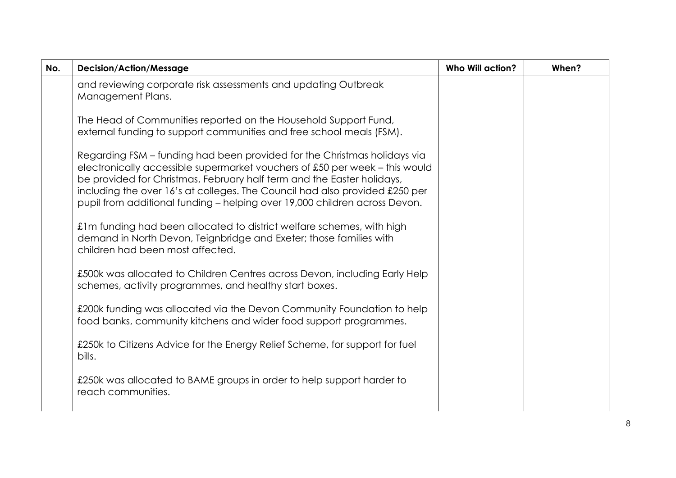| No. | <b>Decision/Action/Message</b>                                                                                                                                                                                                                                                                                                                                                                 | <b>Who Will action?</b> | When? |
|-----|------------------------------------------------------------------------------------------------------------------------------------------------------------------------------------------------------------------------------------------------------------------------------------------------------------------------------------------------------------------------------------------------|-------------------------|-------|
|     | and reviewing corporate risk assessments and updating Outbreak<br>Management Plans.                                                                                                                                                                                                                                                                                                            |                         |       |
|     | The Head of Communities reported on the Household Support Fund,<br>external funding to support communities and free school meals (FSM).                                                                                                                                                                                                                                                        |                         |       |
|     | Regarding FSM - funding had been provided for the Christmas holidays via<br>electronically accessible supermarket vouchers of £50 per week - this would<br>be provided for Christmas, February half term and the Easter holidays,<br>including the over 16's at colleges. The Council had also provided £250 per<br>pupil from additional funding - helping over 19,000 children across Devon. |                         |       |
|     | £1m funding had been allocated to district welfare schemes, with high<br>demand in North Devon, Teignbridge and Exeter; those families with<br>children had been most affected.                                                                                                                                                                                                                |                         |       |
|     | £500k was allocated to Children Centres across Devon, including Early Help<br>schemes, activity programmes, and healthy start boxes.                                                                                                                                                                                                                                                           |                         |       |
|     | £200k funding was allocated via the Devon Community Foundation to help<br>food banks, community kitchens and wider food support programmes.                                                                                                                                                                                                                                                    |                         |       |
|     | £250k to Citizens Advice for the Energy Relief Scheme, for support for fuel<br>bills.                                                                                                                                                                                                                                                                                                          |                         |       |
|     | £250k was allocated to BAME groups in order to help support harder to<br>reach communities.                                                                                                                                                                                                                                                                                                    |                         |       |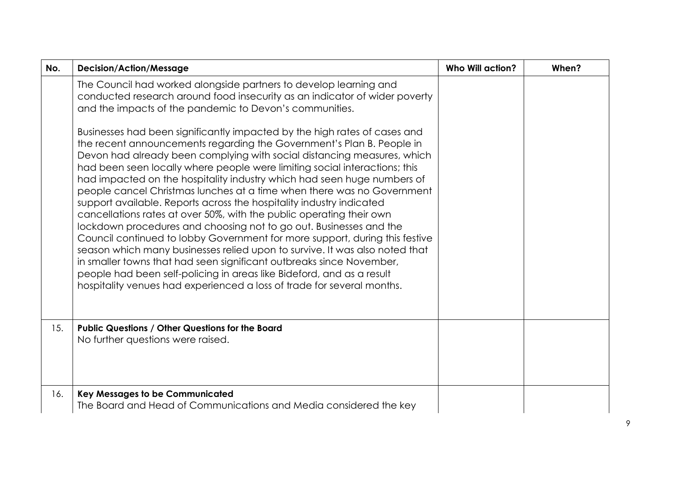| No. | <b>Decision/Action/Message</b>                                                                                                                                                                                                                                                                                                                                                                                                                                                                                                                                                                                                                                                                                                                                                                                                                                                                                                                                                                                                                                                                                                                                                                                                                                                                | <b>Who Will action?</b> | When? |
|-----|-----------------------------------------------------------------------------------------------------------------------------------------------------------------------------------------------------------------------------------------------------------------------------------------------------------------------------------------------------------------------------------------------------------------------------------------------------------------------------------------------------------------------------------------------------------------------------------------------------------------------------------------------------------------------------------------------------------------------------------------------------------------------------------------------------------------------------------------------------------------------------------------------------------------------------------------------------------------------------------------------------------------------------------------------------------------------------------------------------------------------------------------------------------------------------------------------------------------------------------------------------------------------------------------------|-------------------------|-------|
|     | The Council had worked alongside partners to develop learning and<br>conducted research around food insecurity as an indicator of wider poverty<br>and the impacts of the pandemic to Devon's communities.<br>Businesses had been significantly impacted by the high rates of cases and<br>the recent announcements regarding the Government's Plan B. People in<br>Devon had already been complying with social distancing measures, which<br>had been seen locally where people were limiting social interactions; this<br>had impacted on the hospitality industry which had seen huge numbers of<br>people cancel Christmas lunches at a time when there was no Government<br>support available. Reports across the hospitality industry indicated<br>cancellations rates at over 50%, with the public operating their own<br>lockdown procedures and choosing not to go out. Businesses and the<br>Council continued to lobby Government for more support, during this festive<br>season which many businesses relied upon to survive. It was also noted that<br>in smaller towns that had seen significant outbreaks since November,<br>people had been self-policing in areas like Bideford, and as a result<br>hospitality venues had experienced a loss of trade for several months. |                         |       |
| 15. | <b>Public Questions / Other Questions for the Board</b><br>No further questions were raised.                                                                                                                                                                                                                                                                                                                                                                                                                                                                                                                                                                                                                                                                                                                                                                                                                                                                                                                                                                                                                                                                                                                                                                                                  |                         |       |
| 16. | <b>Key Messages to be Communicated</b><br>The Board and Head of Communications and Media considered the key                                                                                                                                                                                                                                                                                                                                                                                                                                                                                                                                                                                                                                                                                                                                                                                                                                                                                                                                                                                                                                                                                                                                                                                   |                         |       |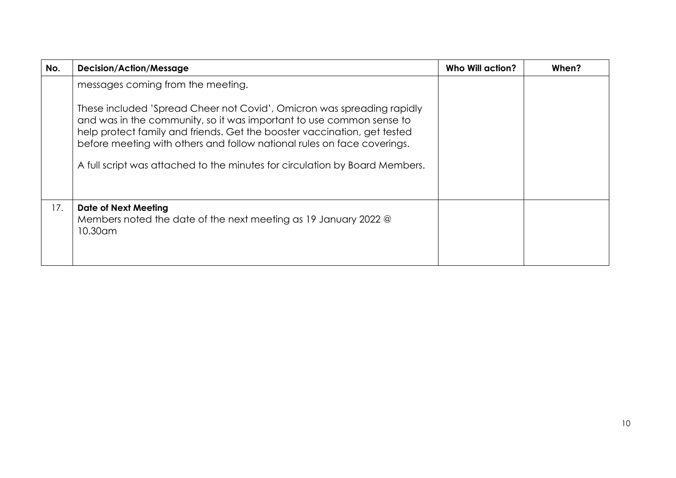| No. | <b>Decision/Action/Message</b>                                                                                                                                                                                                                                                                                                                                                       | Who Will action? | When? |
|-----|--------------------------------------------------------------------------------------------------------------------------------------------------------------------------------------------------------------------------------------------------------------------------------------------------------------------------------------------------------------------------------------|------------------|-------|
|     | messages coming from the meeting.                                                                                                                                                                                                                                                                                                                                                    |                  |       |
|     | These included 'Spread Cheer not Covid', Omicron was spreading rapidly<br>and was in the community, so it was important to use common sense to<br>help protect family and friends. Get the booster vaccination, get tested<br>before meeting with others and follow national rules on face coverings.<br>A full script was attached to the minutes for circulation by Board Members. |                  |       |
| 17. | <b>Date of Next Meeting</b><br>Members noted the date of the next meeting as 19 January 2022 @<br>10.30am                                                                                                                                                                                                                                                                            |                  |       |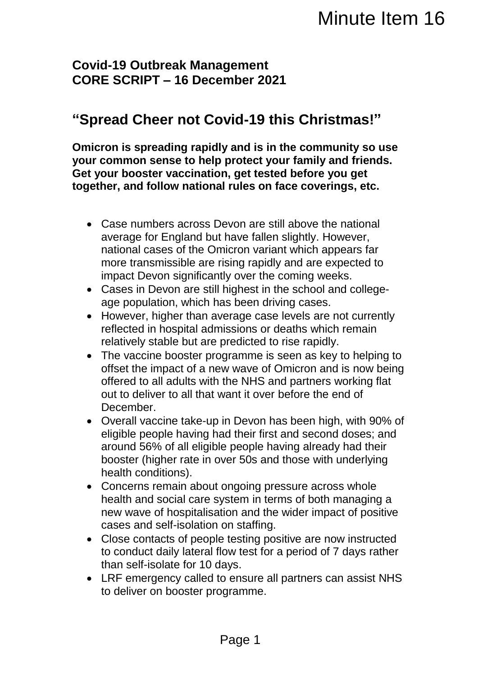## **Covid-19 Outbreak Management CORE SCRIPT – 16 December 2021**

## **"Spread Cheer not Covid-19 this Christmas!"**

**Omicron is spreading rapidly and is in the community so use your common sense to help protect your family and friends. Get your booster vaccination, get tested before you get together, and follow national rules on face coverings, etc.** 

- Case numbers across Devon are still above the national average for England but have fallen slightly. However, national cases of the Omicron variant which appears far more transmissible are rising rapidly and are expected to impact Devon significantly over the coming weeks.
- Cases in Devon are still highest in the school and collegeage population, which has been driving cases.
- However, higher than average case levels are not currently reflected in hospital admissions or deaths which remain relatively stable but are predicted to rise rapidly.
- The vaccine booster programme is seen as key to helping to offset the impact of a new wave of Omicron and is now being offered to all adults with the NHS and partners working flat out to deliver to all that want it over before the end of December. Minute Item 16<br>
Minute Item 16<br>
symmetry and is in the community so use<br>
protect your family and friends.<br>
m, get tested before you get<br>
it rules on face coverings, etc.<br>
However, are still above the national<br>
hive fallen
- Overall vaccine take-up in Devon has been high, with 90% of eligible people having had their first and second doses; and around 56% of all eligible people having already had their booster (higher rate in over 50s and those with underlying health conditions).
- Concerns remain about ongoing pressure across whole health and social care system in terms of both managing a new wave of hospitalisation and the wider impact of positive cases and self-isolation on staffing.
- Close contacts of people testing positive are now instructed to conduct daily lateral flow test for a period of 7 days rather than self-isolate for 10 days.
- LRF emergency called to ensure all partners can assist NHS to deliver on booster programme.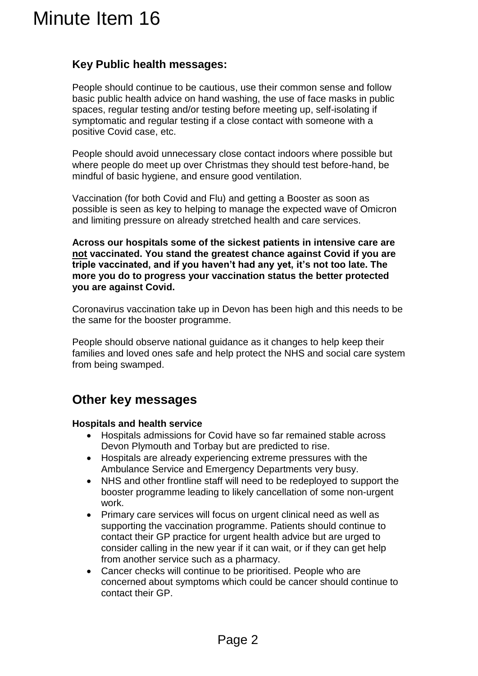## **Key Public health messages:**

People should continue to be cautious, use their common sense and follow basic public health advice on hand washing, the use of face masks in public spaces, regular testing and/or testing before meeting up, self-isolating if symptomatic and regular testing if a close contact with someone with a positive Covid case, etc. Minute Item 16<br>
Key Public health messages:<br>
People should continue to be cautious, use<br>
basic public health and aveo in an dvashing<br>
spaces, regular testing and/or testing theore<br>
spaces, regular testing and/or testing th

People should avoid unnecessary close contact indoors where possible but where people do meet up over Christmas they should test before-hand, be mindful of basic hygiene, and ensure good ventilation.

Vaccination (for both Covid and Flu) and getting a Booster as soon as possible is seen as key to helping to manage the expected wave of Omicron and limiting pressure on already stretched health and care services.

**Across our hospitals some of the sickest patients in intensive care are not vaccinated. You stand the greatest chance against Covid if you are triple vaccinated, and if you haven't had any yet, it's not too late. The more you do to progress your vaccination status the better protected you are against Covid.**

Coronavirus vaccination take up in Devon has been high and this needs to be the same for the booster programme.

People should observe national guidance as it changes to help keep their families and loved ones safe and help protect the NHS and social care system from being swamped.

## **Other key messages**

### **Hospitals and health service**

- Hospitals admissions for Covid have so far remained stable across Devon Plymouth and Torbay but are predicted to rise.
- Hospitals are already experiencing extreme pressures with the Ambulance Service and Emergency Departments very busy.
- NHS and other frontline staff will need to be redeployed to support the booster programme leading to likely cancellation of some non-urgent work.
- Primary care services will focus on urgent clinical need as well as supporting the vaccination programme. Patients should continue to contact their GP practice for urgent health advice but are urged to consider calling in the new year if it can wait, or if they can get help from another service such as a pharmacy.
- Cancer checks will continue to be prioritised. People who are concerned about symptoms which could be cancer should continue to contact their GP.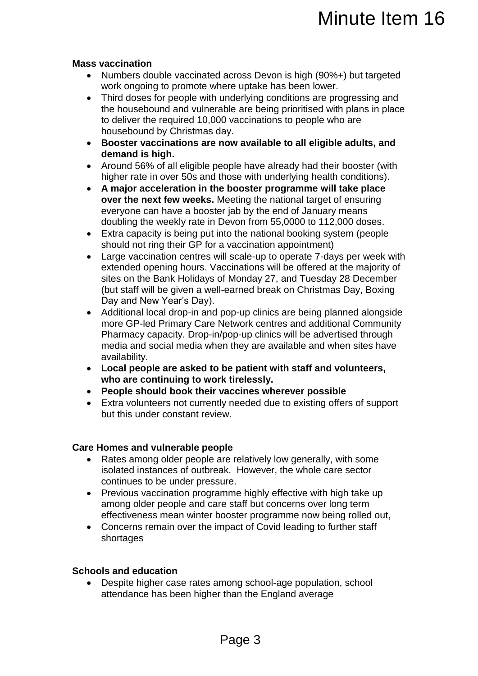## **Mass vaccination**

- Numbers double vaccinated across Devon is high (90%+) but targeted work ongoing to promote where uptake has been lower.
- Third doses for people with underlying conditions are progressing and the housebound and vulnerable are being prioritised with plans in place to deliver the required 10,000 vaccinations to people who are housebound by Christmas day.
- **Booster vaccinations are now available to all eligible adults, and demand is high.**
- Around 56% of all eligible people have already had their booster (with higher rate in over 50s and those with underlying health conditions).
- **A major acceleration in the booster programme will take place over the next few weeks.** Meeting the national target of ensuring everyone can have a booster jab by the end of January means doubling the weekly rate in Devon from 55,0000 to 112,000 doses.
- Extra capacity is being put into the national booking system (people should not ring their GP for a vaccination appointment)
- Large vaccination centres will scale-up to operate 7-days per week with extended opening hours. Vaccinations will be offered at the majority of sites on the Bank Holidays of Monday 27, and Tuesday 28 December (but staff will be given a well-earned break on Christmas Day, Boxing Day and New Year's Day). Minute Item 16<br>across Devon is high (90%+) but targeted<br>nere uptake has been lower.<br>underlying conditions are progressing and<br>able are being prioritised with plans in place<br>able are being prioritised with plans in place<br>of
- Additional local drop-in and pop-up clinics are being planned alongside more GP-led Primary Care Network centres and additional Community Pharmacy capacity. Drop-in/pop-up clinics will be advertised through media and social media when they are available and when sites have availability.
- **Local people are asked to be patient with staff and volunteers, who are continuing to work tirelessly.**
- **People should book their vaccines wherever possible**
- Extra volunteers not currently needed due to existing offers of support but this under constant review.

## **Care Homes and vulnerable people**

- Rates among older people are relatively low generally, with some isolated instances of outbreak. However, the whole care sector continues to be under pressure.
- Previous vaccination programme highly effective with high take up among older people and care staff but concerns over long term effectiveness mean winter booster programme now being rolled out,
- Concerns remain over the impact of Covid leading to further staff shortages

## **Schools and education**

 Despite higher case rates among school-age population, school attendance has been higher than the England average